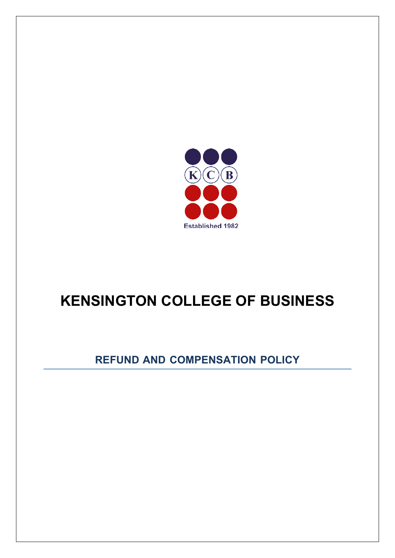

# **KENSINGTON COLLEGE OF BUSINESS**

# **REFUND AND COMPENSATION POLICY**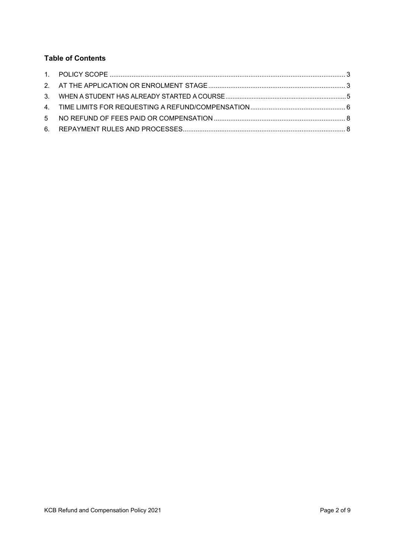# **Table of Contents**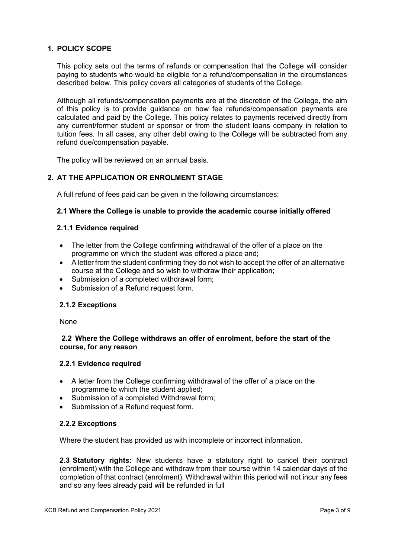# <span id="page-2-0"></span>**1. POLICY SCOPE**

This policy sets out the terms of refunds or compensation that the College will consider paying to students who would be eligible for a refund/compensation in the circumstances described below. This policy covers all categories of students of the College.

Although all refunds/compensation payments are at the discretion of the College, the aim of this policy is to provide guidance on how fee refunds/compensation payments are calculated and paid by the College. This policy relates to payments received directly from any current/former student or sponsor or from the student loans company in relation to tuition fees. In all cases, any other debt owing to the College will be subtracted from any refund due/compensation payable.

The policy will be reviewed on an annual basis.

# <span id="page-2-1"></span>**2. AT THE APPLICATION OR ENROLMENT STAGE**

A full refund of fees paid can be given in the following circumstances:

# **2.1 Where the College is unable to provide the academic course initially offered**

#### **2.1.1 Evidence required**

- The letter from the College confirming withdrawal of the offer of a place on the programme on which the student was offered a place and;
- A letter from the student confirming they do not wish to accept the offer of an alternative course at the College and so wish to withdraw their application;
- Submission of a completed withdrawal form;
- Submission of a Refund request form.

#### **2.1.2 Exceptions**

None

# **2.2 Where the College withdraws an offer of enrolment, before the start of the course, for any reason**

#### **2.2.1 Evidence required**

- A letter from the College confirming withdrawal of the offer of a place on the programme to which the student applied;
- Submission of a completed Withdrawal form;
- Submission of a Refund request form.

# **2.2.2 Exceptions**

Where the student has provided us with incomplete or incorrect information.

**2.3 Statutory rights:** New students have a statutory right to cancel their contract (enrolment) with the College and withdraw from their course within 14 calendar days of the completion of that contract (enrolment). Withdrawal within this period will not incur any fees and so any fees already paid will be refunded in full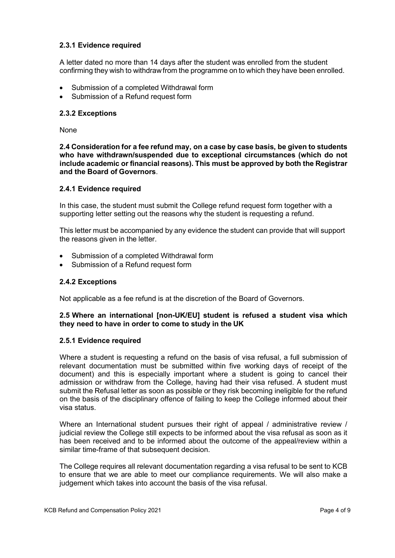# **2.3.1 Evidence required**

A letter dated no more than 14 days after the student was enrolled from the student confirming they wish to withdrawfrom the programme on to which they have been enrolled.

- Submission of a completed Withdrawal form
- Submission of a Refund request form

#### **2.3.2 Exceptions**

None

**2.4 Consideration for a fee refund may, on a case by case basis, be given to students who have withdrawn/suspended due to exceptional circumstances (which do not include academic or financial reasons). This must be approved by both the Registrar and the Board of Governors**.

#### **2.4.1 Evidence required**

In this case, the student must submit the College refund request form together with a supporting letter setting out the reasons why the student is requesting a refund.

This letter must be accompanied by any evidence the student can provide that will support the reasons given in the letter.

- Submission of a completed Withdrawal form
- Submission of a Refund request form

#### **2.4.2 Exceptions**

Not applicable as a fee refund is at the discretion of the Board of Governors.

#### **2.5 Where an international [non-UK/EU] student is refused a student visa which they need to have in order to come to study in the UK**

#### **2.5.1 Evidence required**

Where a student is requesting a refund on the basis of visa refusal, a full submission of relevant documentation must be submitted within five working days of receipt of the document) and this is especially important where a student is going to cancel their admission or withdraw from the College, having had their visa refused. A student must submit the Refusal letter as soon as possible or they risk becoming ineligible for the refund on the basis of the disciplinary offence of failing to keep the College informed about their visa status.

Where an International student pursues their right of appeal / administrative review / judicial review the College still expects to be informed about the visa refusal as soon as it has been received and to be informed about the outcome of the appeal/review within a similar time-frame of that subsequent decision.

The College requires all relevant documentation regarding a visa refusal to be sent to KCB to ensure that we are able to meet our compliance requirements. We will also make a judgement which takes into account the basis of the visa refusal.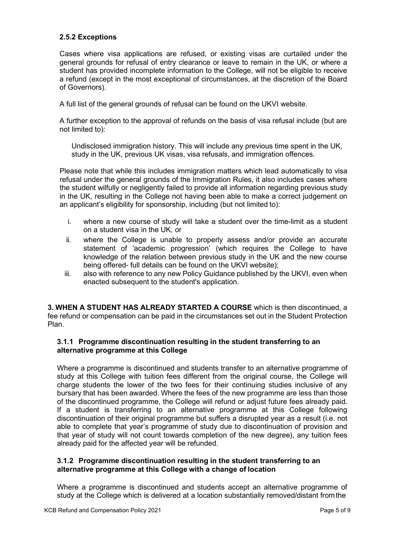# **2.5.2 Exceptions**

Cases where visa applications are refused, or existing visas are curtailed under the general grounds for refusal of entry clearance or leave to remain in the UK, or where a student has provided incomplete information to the College, will not be eligible to receive a refund (except in the most exceptional of circumstances, at the discretion of the Board of Governors).

A full list of the general grounds of refusal can be found on the UKVI website.

A further exception to the approval of refunds on the basis of visa refusal include (but are not limited to):

Undisclosed immigration history. This will include any previous time spent in the UK, study in the UK, previous UK visas, visa refusals, and immigration offences.

Please note that while this includes immigration matters which lead automatically to visa refusal under the general grounds of the Immigration Rules, it also includes cases where the student wilfully or negligently failed to provide all information regarding previous study in the UK, resulting in the College not having been able to make a correct judgement on an applicant's eligibility for sponsorship, including (but not limited to):

- i. where a new course of study will take a student over the time-limit as a student on a student visa in the UK, or
- ii. where the College is unable to properly assess and/or provide an accurate statement of 'academic progression' (which requires the College to have knowledge of the relation between previous study in the UK and the new course being offered- full details can be found on the UKVI website);
- iii. also with reference to any new Policy Guidance published by the UKVI, even when enacted subsequent to the student's application.

<span id="page-4-0"></span>**3. WHEN A STUDENT HAS ALREADY STARTED A COURSE** which is then discontinued, a fee refund or compensation can be paid in the circumstances set out in the Student Protection Plan.

# **3.1.1 Programme discontinuation resulting in the student transferring to an alternative programme at this College**

Where a programme is discontinued and students transfer to an alternative programme of study at this College with tuition fees different from the original course, the College will charge students the lower of the two fees for their continuing studies inclusive of any bursary that has been awarded. Where the fees of the new programme are less than those of the discontinued programme, the College will refund or adjust future fees already paid. If a student is transferring to an alternative programme at this College following discontinuation of their original programme but suffers a disrupted year as a result (i.e. not able to complete that year's programme of study due to discontinuation of provision and that year of study will not count towards completion of the new degree), any tuition fees already paid for the affected year will be refunded.

#### **3.1.2 Programme discontinuation resulting in the student transferring to an alternative programme at this College with a change of location**

Where a programme is discontinued and students accept an alternative programme of study at the College which is delivered at a location substantially removed/distant fromthe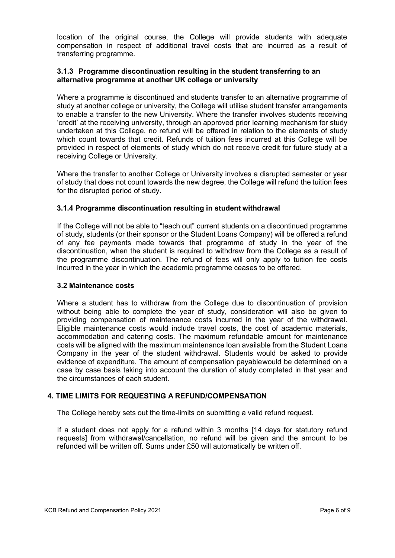location of the original course, the College will provide students with adequate compensation in respect of additional travel costs that are incurred as a result of transferring programme.

# **3.1.3 Programme discontinuation resulting in the student transferring to an alternative programme at another UK college or university**

Where a programme is discontinued and students transfer to an alternative programme of study at another college or university, the College will utilise student transfer arrangements to enable a transfer to the new University. Where the transfer involves students receiving 'credit' at the receiving university, through an approved prior learning mechanism for study undertaken at this College, no refund will be offered in relation to the elements of study which count towards that credit. Refunds of tuition fees incurred at this College will be provided in respect of elements of study which do not receive credit for future study at a receiving College or University.

Where the transfer to another College or University involves a disrupted semester or year of study that does not count towards the new degree, the College will refund the tuition fees for the disrupted period of study.

# **3.1.4 Programme discontinuation resulting in student withdrawal**

If the College will not be able to "teach out" current students on a discontinued programme of study, students (or their sponsor or the Student Loans Company) will be offered a refund of any fee payments made towards that programme of study in the year of the discontinuation, when the student is required to withdraw from the College as a result of the programme discontinuation. The refund of fees will only apply to tuition fee costs incurred in the year in which the academic programme ceases to be offered.

#### **3.2 Maintenance costs**

Where a student has to withdraw from the College due to discontinuation of provision without being able to complete the year of study, consideration will also be given to providing compensation of maintenance costs incurred in the year of the withdrawal. Eligible maintenance costs would include travel costs, the cost of academic materials, accommodation and catering costs. The maximum refundable amount for maintenance costs will be aligned with the maximum maintenance loan available from the Student Loans Company in the year of the student withdrawal. Students would be asked to provide evidence of expenditure. The amount of compensation payablewould be determined on a case by case basis taking into account the duration of study completed in that year and the circumstances of each student.

# <span id="page-5-0"></span>**4. TIME LIMITS FOR REQUESTING A REFUND/COMPENSATION**

The College hereby sets out the time-limits on submitting a valid refund request.

If a student does not apply for a refund within 3 months [14 days for statutory refund requests] from withdrawal/cancellation, no refund will be given and the amount to be refunded will be written off. Sums under £50 will automatically be written off.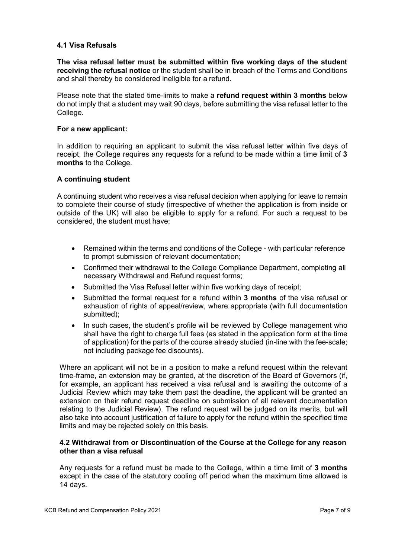# **4.1 Visa Refusals**

**The visa refusal letter must be submitted within five working days of the student receiving the refusal notice** or the student shall be in breach of the Terms and Conditions and shall thereby be considered ineligible for a refund.

Please note that the stated time-limits to make a **refund request within 3 months** below do not imply that a student may wait 90 days, before submitting the visa refusal letter to the College.

#### **For a new applicant:**

In addition to requiring an applicant to submit the visa refusal letter within five days of receipt, the College requires any requests for a refund to be made within a time limit of **3 months** to the College.

# **A continuing student**

A continuing student who receives a visa refusal decision when applying for leave to remain to complete their course of study (irrespective of whether the application is from inside or outside of the UK) will also be eligible to apply for a refund. For such a request to be considered, the student must have:

- Remained within the terms and conditions of the College with particular reference to prompt submission of relevant documentation;
- Confirmed their withdrawal to the College Compliance Department, completing all necessary Withdrawal and Refund request forms;
- Submitted the Visa Refusal letter within five working days of receipt;
- Submitted the formal request for a refund within **3 months** of the visa refusal or exhaustion of rights of appeal/review, where appropriate (with full documentation submitted);
- In such cases, the student's profile will be reviewed by College management who shall have the right to charge full fees (as stated in the application form at the time of application) for the parts of the course already studied (in-line with the fee-scale; not including package fee discounts).

Where an applicant will not be in a position to make a refund request within the relevant time-frame, an extension may be granted, at the discretion of the Board of Governors (if, for example, an applicant has received a visa refusal and is awaiting the outcome of a Judicial Review which may take them past the deadline, the applicant will be granted an extension on their refund request deadline on submission of all relevant documentation relating to the Judicial Review). The refund request will be judged on its merits, but will also take into account justification of failure to apply for the refund within the specified time limits and may be rejected solely on this basis.

# **4.2 Withdrawal from or Discontinuation of the Course at the College for any reason other than a visa refusal**

Any requests for a refund must be made to the College, within a time limit of **3 months** except in the case of the statutory cooling off period when the maximum time allowed is 14 days.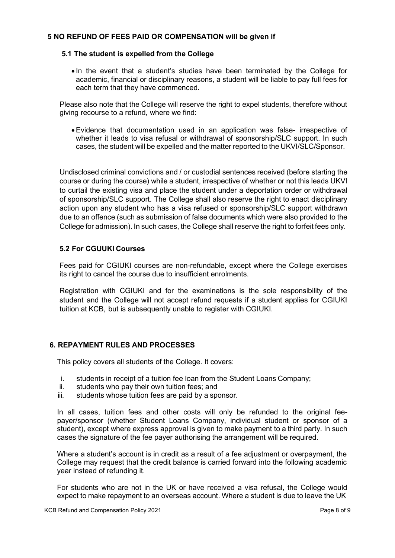# <span id="page-7-0"></span>**5 NO REFUND OF FEES PAID OR COMPENSATION will be given if**

#### **5.1 The student is expelled from the College**

• In the event that a student's studies have been terminated by the College for academic, financial or disciplinary reasons, a student will be liable to pay full fees for each term that they have commenced.

Please also note that the College will reserve the right to expel students, therefore without giving recourse to a refund, where we find:

•Evidence that documentation used in an application was false- irrespective of whether it leads to visa refusal or withdrawal of sponsorship/SLC support. In such cases, the student will be expelled and the matter reported to the UKVI/SLC/Sponsor.

Undisclosed criminal convictions and / or custodial sentences received (before starting the course or during the course) while a student, irrespective of whether or not this leads UKVI to curtail the existing visa and place the student under a deportation order or withdrawal of sponsorship/SLC support. The College shall also reserve the right to enact disciplinary action upon any student who has a visa refused or sponsorship/SLC support withdrawn due to an offence (such as submission of false documents which were also provided to the College for admission). In such cases, the College shall reserve the right to forfeit fees only.

# **5.2 For CGUUKI Courses**

Fees paid for CGIUKI courses are non-refundable, except where the College exercises its right to cancel the course due to insufficient enrolments.

Registration with CGIUKI and for the examinations is the sole responsibility of the student and the College will not accept refund requests if a student applies for CGIUKI tuition at KCB, but is subsequently unable to register with CGIUKI.

# <span id="page-7-1"></span>**6. REPAYMENT RULES AND PROCESSES**

This policy covers all students of the College. It covers:

- i. students in receipt of a tuition fee loan from the Student Loans Company;<br>ii students who pay their own tuition fees: and
- students who pay their own tuition fees; and
- iii. students whose tuition fees are paid by a sponsor.

In all cases, tuition fees and other costs will only be refunded to the original feepayer/sponsor (whether Student Loans Company, individual student or sponsor of a student), except where express approval is given to make payment to a third party. In such cases the signature of the fee payer authorising the arrangement will be required.

Where a student's account is in credit as a result of a fee adjustment or overpayment, the College may request that the credit balance is carried forward into the following academic year instead of refunding it.

For students who are not in the UK or have received a visa refusal, the College would expect to make repayment to an overseas account. Where a student is due to leave the UK